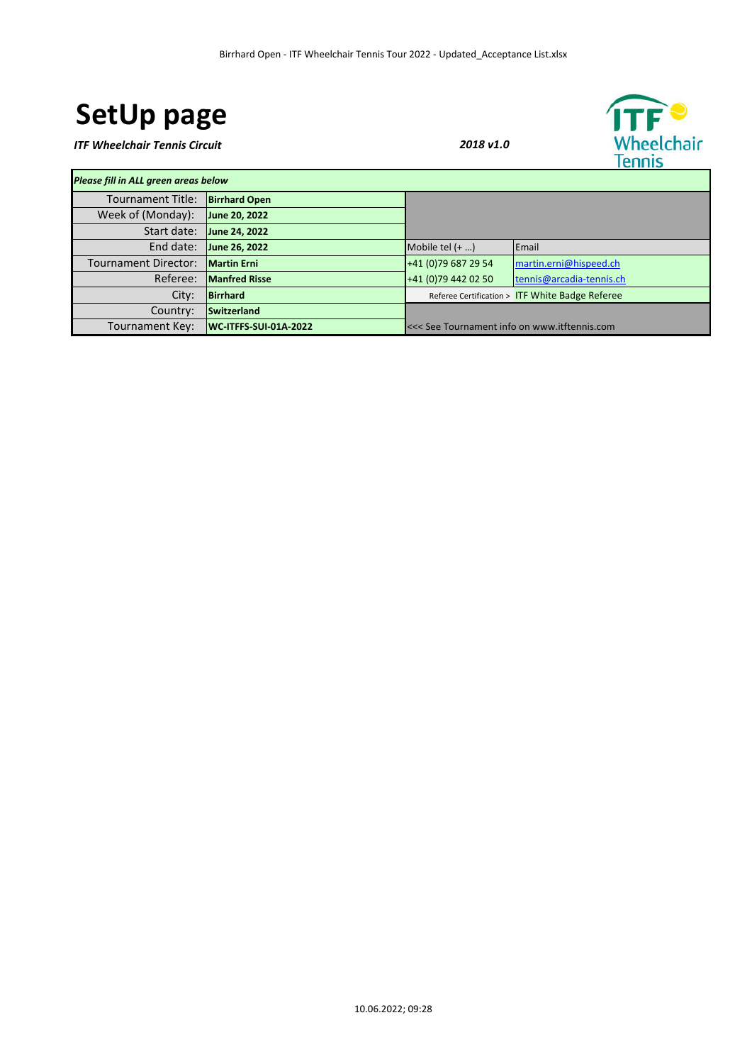# **SetUp page**

*ITF Wheelchair Tennis Circuit 2018 v1.0*



*Please fill in ALL green areas below* Tournament Title: **Birrhard Open** Week of (Monday): **June 20, 2022** Start date: **June 24, 2022** End date: **June 26, 2022** Mobile tel (+ ...) Email Tournament Director: **Martin Erni Erni 1988** 129 129 129 54 martin.erni@hispeed.ch Referee: **Manfred Risse +41 (0)**79 442 02 50 **tennis@arcadia-tennis.ch City: Birrhard Reference Construction City: Birrhard Reference Certification > ITF White Badge Referee** Country: **Switzerland** Tournament Key: **WC-ITFFS-SUI-01A-2022** <<< See Tournament info on www.itftennis.com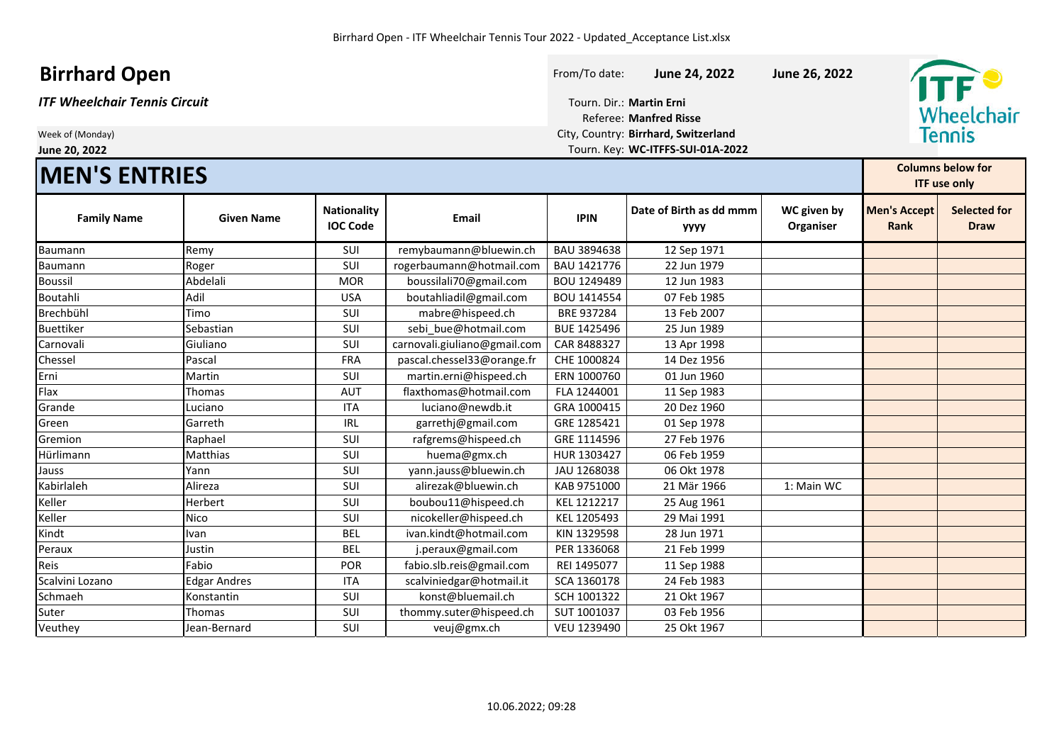### **Birrhard Open Birrhard Open Example 26, 2022 June 24, 2022 June 26, 2022**

## **MEN'S ENTRIES**

| ITF Wheelchair Tennis Circuit | Tourn. Dir.: Martin Erni             |
|-------------------------------|--------------------------------------|
|                               | <b>Referee: Manfred Risse</b>        |
| Week of (Monday)              | City, Country: Birrhard, Switzerland |
| June 20, 2022                 | Tourn. Key: WC-ITFFS-SUI-01A-2022    |



| <b>IMEN'S ENTRIES</b> |                     |                                       |                              |             |                                        | <b>Columns below for</b><br><b>ITF use only</b> |                                    |                                    |
|-----------------------|---------------------|---------------------------------------|------------------------------|-------------|----------------------------------------|-------------------------------------------------|------------------------------------|------------------------------------|
| <b>Family Name</b>    | <b>Given Name</b>   | <b>Nationality</b><br><b>IOC Code</b> | <b>Email</b>                 | <b>IPIN</b> | Date of Birth as dd mmm<br><b>YYYY</b> | WC given by<br>Organiser                        | <b>Men's Accept</b><br><b>Rank</b> | <b>Selected for</b><br><b>Draw</b> |
| Baumann               | Remy                | SUI                                   | remybaumann@bluewin.ch       | BAU 3894638 | 12 Sep 1971                            |                                                 |                                    |                                    |
| <b>Baumann</b>        | Roger               | SUI                                   | rogerbaumann@hotmail.com     | BAU 1421776 | 22 Jun 1979                            |                                                 |                                    |                                    |
| <b>Boussil</b>        | Abdelali            | <b>MOR</b>                            | boussilali70@gmail.com       | BOU 1249489 | 12 Jun 1983                            |                                                 |                                    |                                    |
| Boutahli              | Adil                | <b>USA</b>                            | boutahliadil@gmail.com       | BOU 1414554 | 07 Feb 1985                            |                                                 |                                    |                                    |
| Brechbühl             | Timo                | SUI                                   | mabre@hispeed.ch             | BRE 937284  | 13 Feb 2007                            |                                                 |                                    |                                    |
| <b>Buettiker</b>      | Sebastian           | <b>SUI</b>                            | sebi bue@hotmail.com         | BUE 1425496 | 25 Jun 1989                            |                                                 |                                    |                                    |
| Carnovali             | Giuliano            | SUI                                   | carnovali.giuliano@gmail.com | CAR 8488327 | 13 Apr 1998                            |                                                 |                                    |                                    |
| Chessel               | Pascal              | <b>FRA</b>                            | pascal.chessel33@orange.fr   | CHE 1000824 | 14 Dez 1956                            |                                                 |                                    |                                    |
| Erni                  | Martin              | <b>SUI</b>                            | martin.erni@hispeed.ch       | ERN 1000760 | 01 Jun 1960                            |                                                 |                                    |                                    |
| Flax                  | Thomas              | <b>AUT</b>                            | flaxthomas@hotmail.com       | FLA 1244001 | 11 Sep 1983                            |                                                 |                                    |                                    |
| Grande                | Luciano             | <b>ITA</b>                            | luciano@newdb.it             | GRA 1000415 | 20 Dez 1960                            |                                                 |                                    |                                    |
| Green                 | Garreth             | <b>IRL</b>                            | garrethj@gmail.com           | GRE 1285421 | 01 Sep 1978                            |                                                 |                                    |                                    |
| Gremion               | Raphael             | SUI                                   | rafgrems@hispeed.ch          | GRE 1114596 | 27 Feb 1976                            |                                                 |                                    |                                    |
| Hürlimann             | <b>Matthias</b>     | SUI                                   | huema@gmx.ch                 | HUR 1303427 | 06 Feb 1959                            |                                                 |                                    |                                    |
| Jauss                 | Yann                | SUI                                   | yann.jauss@bluewin.ch        | JAU 1268038 | 06 Okt 1978                            |                                                 |                                    |                                    |
| Kabirlaleh            | Alireza             | SUI                                   | alirezak@bluewin.ch          | KAB 9751000 | 21 Mär 1966                            | 1: Main WC                                      |                                    |                                    |
| Keller                | Herbert             | SUI                                   | boubou11@hispeed.ch          | KEL 1212217 | 25 Aug 1961                            |                                                 |                                    |                                    |
| Keller                | Nico                | <b>SUI</b>                            | nicokeller@hispeed.ch        | KEL 1205493 | 29 Mai 1991                            |                                                 |                                    |                                    |
| Kindt                 | Ivan                | <b>BEL</b>                            | ivan.kindt@hotmail.com       | KIN 1329598 | 28 Jun 1971                            |                                                 |                                    |                                    |
| Peraux                | Justin              | <b>BEL</b>                            | j.peraux@gmail.com           | PER 1336068 | 21 Feb 1999                            |                                                 |                                    |                                    |
| Reis                  | Fabio               | POR                                   | fabio.slb.reis@gmail.com     | REI 1495077 | 11 Sep 1988                            |                                                 |                                    |                                    |
| Scalvini Lozano       | <b>Edgar Andres</b> | <b>ITA</b>                            | scalviniedgar@hotmail.it     | SCA 1360178 | 24 Feb 1983                            |                                                 |                                    |                                    |
| Schmaeh               | Konstantin          | SUI                                   | konst@bluemail.ch            | SCH 1001322 | 21 Okt 1967                            |                                                 |                                    |                                    |
| Suter                 | Thomas              | SUI                                   | thommy.suter@hispeed.ch      | SUT 1001037 | 03 Feb 1956                            |                                                 |                                    |                                    |
| Veuthey               | Jean-Bernard        | SUI                                   | veuj@gmx.ch                  | VEU 1239490 | 25 Okt 1967                            |                                                 |                                    |                                    |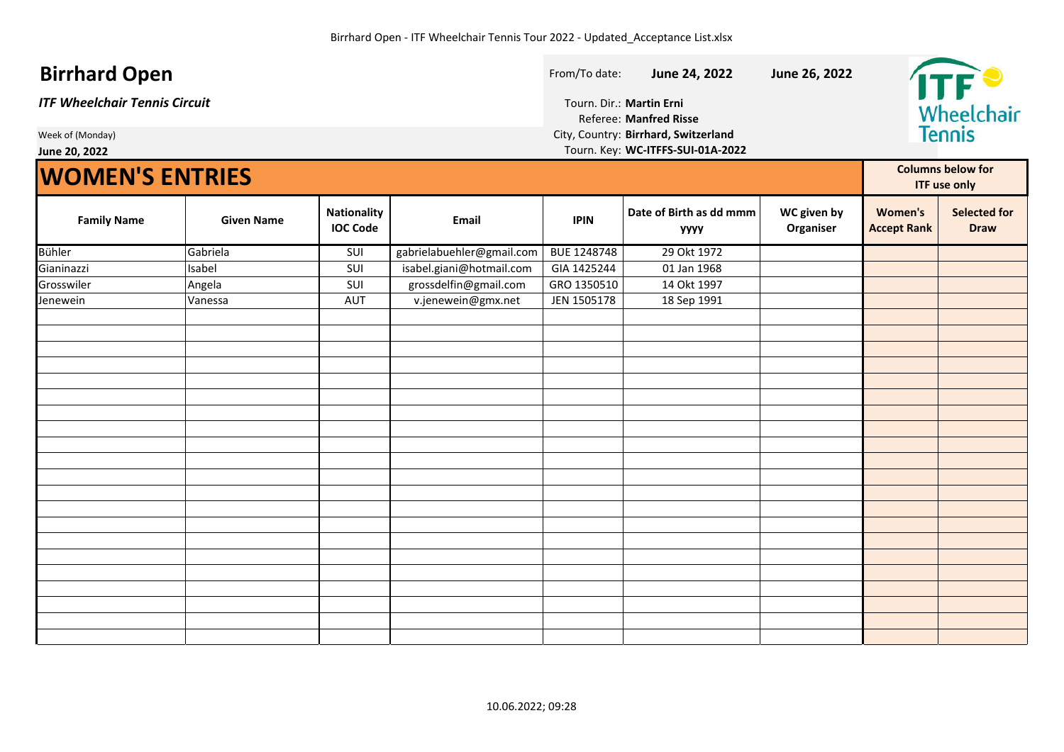### **Birrhard Open Birrhard Open Example 24, 2022 June 24, 2022 June 26, 2022**

*ITF Wheelchair Tennis Circuit* Tourn. Dir.: **Martin Erni**

Referee: **Manfred Risse** Week of (Monday) City, Country: **Birrhard, Switzerland June 20, 2022** Tourn. Key: **WC-ITFFS-SUI-01A-2022**



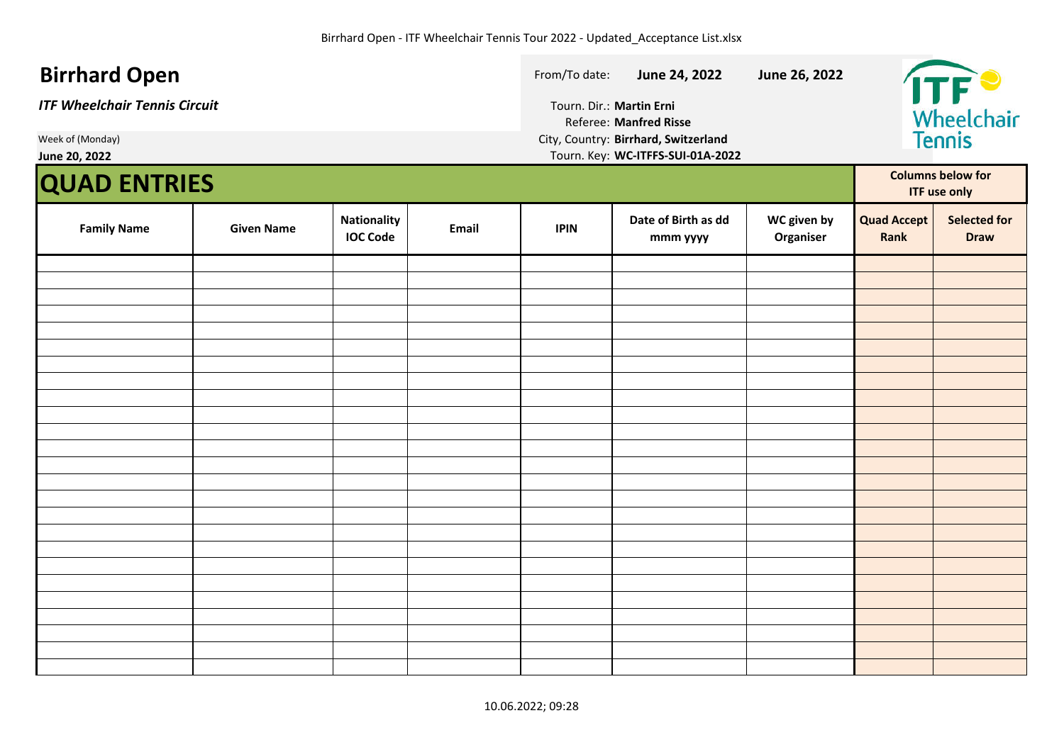| <b>Birrhard Open</b><br><b>ITF Wheelchair Tennis Circuit</b><br>Week of (Monday)<br>June 20, 2022 |                                       |       | From/To date:<br>Tourn. Dir.: Martin Erni | June 24, 2022<br><b>Referee: Manfred Risse</b><br>City, Country: Birrhard, Switzerland<br>Tourn. Key: WC-ITFFS-SUI-01A-2022 | June 26, 2022            | Wheelchair<br>Tennis       |                                                 |
|---------------------------------------------------------------------------------------------------|---------------------------------------|-------|-------------------------------------------|-----------------------------------------------------------------------------------------------------------------------------|--------------------------|----------------------------|-------------------------------------------------|
| <b>QUAD ENTRIES</b>                                                                               |                                       |       |                                           |                                                                                                                             |                          |                            | <b>Columns below for</b><br><b>ITF use only</b> |
| <b>Family Name</b><br><b>Given Name</b>                                                           | <b>Nationality</b><br><b>IOC Code</b> | Email | <b>IPIN</b>                               | Date of Birth as dd<br>mmm yyyy                                                                                             | WC given by<br>Organiser | <b>Quad Accept</b><br>Rank | <b>Selected for</b><br><b>Draw</b>              |
|                                                                                                   |                                       |       |                                           |                                                                                                                             |                          |                            |                                                 |
|                                                                                                   |                                       |       |                                           |                                                                                                                             |                          |                            |                                                 |
|                                                                                                   |                                       |       |                                           |                                                                                                                             |                          |                            |                                                 |
|                                                                                                   |                                       |       |                                           |                                                                                                                             |                          |                            |                                                 |
|                                                                                                   |                                       |       |                                           |                                                                                                                             |                          |                            |                                                 |
|                                                                                                   |                                       |       |                                           |                                                                                                                             |                          |                            |                                                 |
|                                                                                                   |                                       |       |                                           |                                                                                                                             |                          |                            |                                                 |
|                                                                                                   |                                       |       |                                           |                                                                                                                             |                          |                            |                                                 |
|                                                                                                   |                                       |       |                                           |                                                                                                                             |                          |                            |                                                 |
|                                                                                                   |                                       |       |                                           |                                                                                                                             |                          |                            |                                                 |
|                                                                                                   |                                       |       |                                           |                                                                                                                             |                          |                            |                                                 |
|                                                                                                   |                                       |       |                                           |                                                                                                                             |                          |                            |                                                 |
|                                                                                                   |                                       |       |                                           |                                                                                                                             |                          |                            |                                                 |
|                                                                                                   |                                       |       |                                           |                                                                                                                             |                          |                            |                                                 |
|                                                                                                   |                                       |       |                                           |                                                                                                                             |                          |                            |                                                 |
|                                                                                                   |                                       |       |                                           |                                                                                                                             |                          |                            |                                                 |
|                                                                                                   |                                       |       |                                           |                                                                                                                             |                          |                            |                                                 |
|                                                                                                   |                                       |       |                                           |                                                                                                                             |                          |                            |                                                 |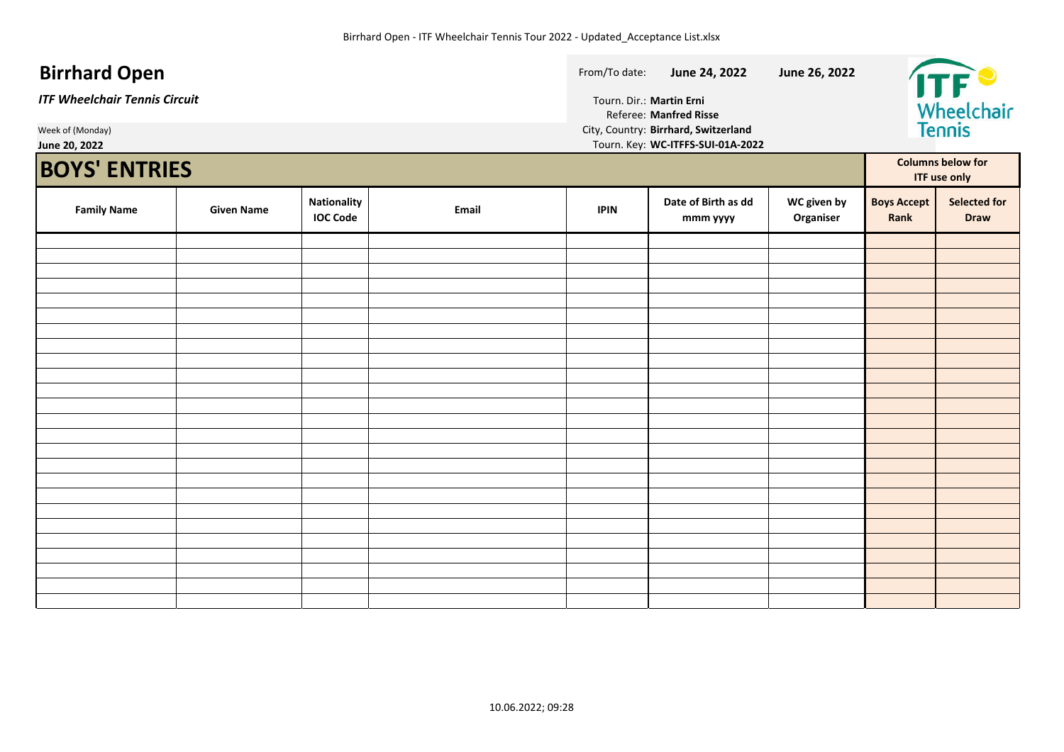#### **Birrhard Open Birrhard Open From/To date: June 24, 2022 June 26, 2022** Wheelchair *ITF Wheelchair Tennis Circuit* Tourn. Dir.: **Martin Erni** Referee: **Manfred Risse** Week of (Monday) City, Country: **Birrhard, Switzerland June 20, 2022** Tourn. Key: **WC-ITFFS-SUI-01A-2022**

| <b>BOYS' ENTRIES</b> |                   |                                |       |             |                                 | <b>Columns below for</b><br><b>ITF use only</b> |                            |                                    |
|----------------------|-------------------|--------------------------------|-------|-------------|---------------------------------|-------------------------------------------------|----------------------------|------------------------------------|
| <b>Family Name</b>   | <b>Given Name</b> | Nationality<br><b>IOC Code</b> | Email | <b>IPIN</b> | Date of Birth as dd<br>mmm yyyy | WC given by<br>Organiser                        | <b>Boys Accept</b><br>Rank | <b>Selected for</b><br><b>Draw</b> |
|                      |                   |                                |       |             |                                 |                                                 |                            |                                    |
|                      |                   |                                |       |             |                                 |                                                 |                            |                                    |
|                      |                   |                                |       |             |                                 |                                                 |                            |                                    |
|                      |                   |                                |       |             |                                 |                                                 |                            |                                    |
|                      |                   |                                |       |             |                                 |                                                 |                            |                                    |
|                      |                   |                                |       |             |                                 |                                                 |                            |                                    |
|                      |                   |                                |       |             |                                 |                                                 |                            |                                    |
|                      |                   |                                |       |             |                                 |                                                 |                            |                                    |
|                      |                   |                                |       |             |                                 |                                                 |                            |                                    |
|                      |                   |                                |       |             |                                 |                                                 |                            |                                    |
|                      |                   |                                |       |             |                                 |                                                 |                            |                                    |
|                      |                   |                                |       |             |                                 |                                                 |                            |                                    |
|                      |                   |                                |       |             |                                 |                                                 |                            |                                    |
|                      |                   |                                |       |             |                                 |                                                 |                            |                                    |
|                      |                   |                                |       |             |                                 |                                                 |                            |                                    |
|                      |                   |                                |       |             |                                 |                                                 |                            |                                    |
|                      |                   |                                |       |             |                                 |                                                 |                            |                                    |
|                      |                   |                                |       |             |                                 |                                                 |                            |                                    |
|                      |                   |                                |       |             |                                 |                                                 |                            |                                    |
|                      |                   |                                |       |             |                                 |                                                 |                            |                                    |
|                      |                   |                                |       |             |                                 |                                                 |                            |                                    |
|                      |                   |                                |       |             |                                 |                                                 |                            |                                    |
|                      |                   |                                |       |             |                                 |                                                 |                            |                                    |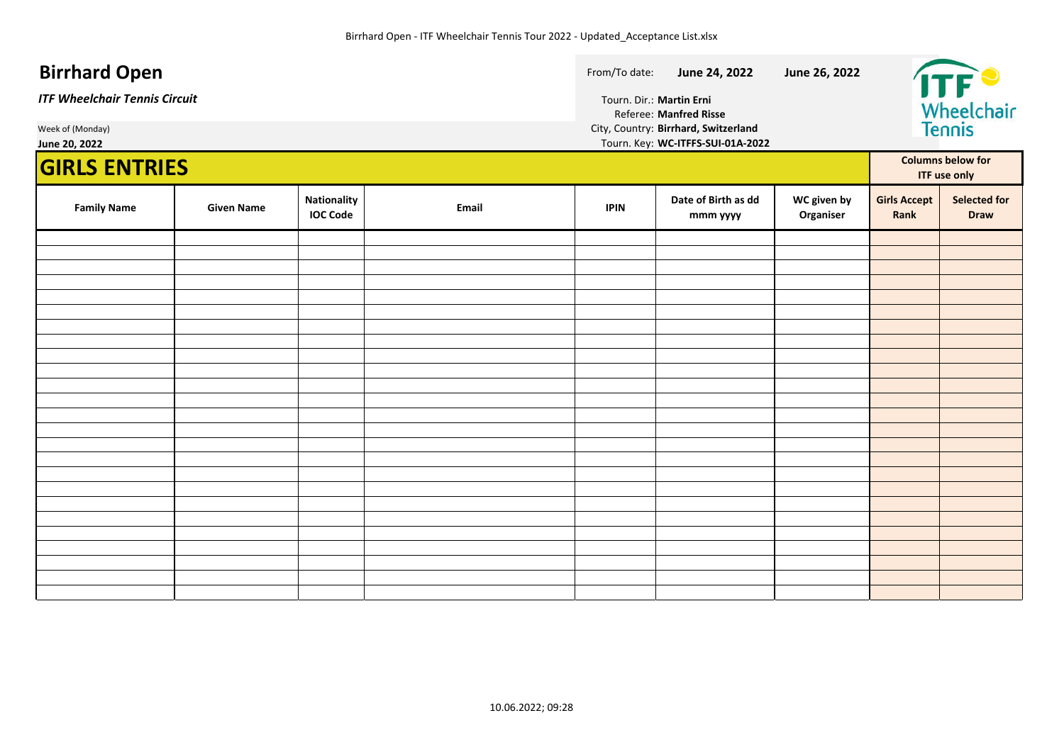#### **Birrhard Open Birrhard Open From/To date: June 24, 2022 June 26, 2022** Wheelchair<br>Tennis *ITF Wheelchair Tennis Circuit* Tourn. Dir.: **Martin Erni** Referee: **Manfred Risse** Week of (Monday) **City, Country: Birrhard, Switzerland**<br>1992 June 20, 2022 **June 20, 2022** Tourn. Key: **WC-ITFFS-SUI-01A-2022 GIRLS ENTRIES Columns below for ITF use only WC given by Family Name Calcularist Given Name Nationality Nationality Girls Accept Selected for IOC Code Email IPIN Date of Birth as dd Organiser Rank Draw mmm yyyy**